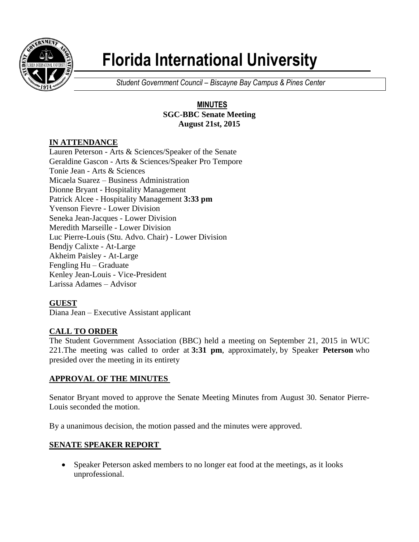

# **Florida International University**

*Student Government Council – Biscayne Bay Campus & Pines Center*

#### **MINUTES SGC-BBC Senate Meeting August 21st, 2015**

# **IN ATTENDANCE**

Lauren Peterson - Arts & Sciences/Speaker of the Senate Geraldine Gascon - Arts & Sciences/Speaker Pro Tempore Tonie Jean - Arts & Sciences Micaela Suarez – Business Administration Dionne Bryant - Hospitality Management Patrick Alcee - Hospitality Management **3:33 pm** Yvenson Fievre - Lower Division Seneka Jean-Jacques - Lower Division Meredith Marseille - Lower Division Luc Pierre-Louis (Stu. Advo. Chair) - Lower Division Bendjy Calixte - At-Large Akheim Paisley - At-Large Fengling Hu – Graduate Kenley Jean-Louis - Vice-President Larissa Adames – Advisor

# **GUEST**

Diana Jean – Executive Assistant applicant

# **CALL TO ORDER**

The Student Government Association (BBC) held a meeting on September 21, 2015 in WUC 221.The meeting was called to order at **3:31 pm**, approximately, by Speaker **Peterson** who presided over the meeting in its entirety

# **APPROVAL OF THE MINUTES**

Senator Bryant moved to approve the Senate Meeting Minutes from August 30. Senator Pierre-Louis seconded the motion.

By a unanimous decision, the motion passed and the minutes were approved.

#### **SENATE SPEAKER REPORT**

• Speaker Peterson asked members to no longer eat food at the meetings, as it looks unprofessional.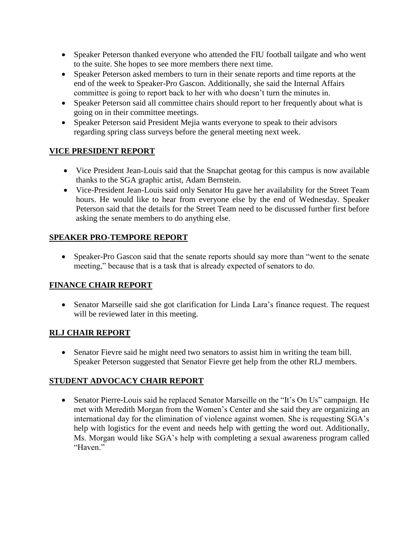- Speaker Peterson thanked everyone who attended the FIU football tailgate and who went to the suite. She hopes to see more members there next time.
- Speaker Peterson asked members to turn in their senate reports and time reports at the end of the week to Speaker-Pro Gascon. Additionally, she said the Internal Affairs committee is going to report back to her with who doesn't turn the minutes in.
- Speaker Peterson said all committee chairs should report to her frequently about what is going on in their committee meetings.
- Speaker Peterson said President Mejia wants everyone to speak to their advisors regarding spring class surveys before the general meeting next week.

# **VICE PRESIDENT REPORT**

- Vice President Jean-Louis said that the Snapchat geotag for this campus is now available thanks to the SGA graphic artist, Adam Bernstein.
- Vice-President Jean-Louis said only Senator Hu gave her availability for the Street Team hours. He would like to hear from everyone else by the end of Wednesday. Speaker Peterson said that the details for the Street Team need to be discussed further first before asking the senate members to do anything else.

# **SPEAKER PRO-TEMPORE REPORT**

 Speaker-Pro Gascon said that the senate reports should say more than "went to the senate meeting," because that is a task that is already expected of senators to do.

# **FINANCE CHAIR REPORT**

• Senator Marseille said she got clarification for Linda Lara's finance request. The request will be reviewed later in this meeting.

# **RLJ CHAIR REPORT**

 Senator Fievre said he might need two senators to assist him in writing the team bill. Speaker Peterson suggested that Senator Fievre get help from the other RLJ members.

# **STUDENT ADVOCACY CHAIR REPORT**

• Senator Pierre-Louis said he replaced Senator Marseille on the "It's On Us" campaign. He met with Meredith Morgan from the Women's Center and she said they are organizing an international day for the elimination of violence against women. She is requesting SGA's help with logistics for the event and needs help with getting the word out. Additionally, Ms. Morgan would like SGA's help with completing a sexual awareness program called "Haven."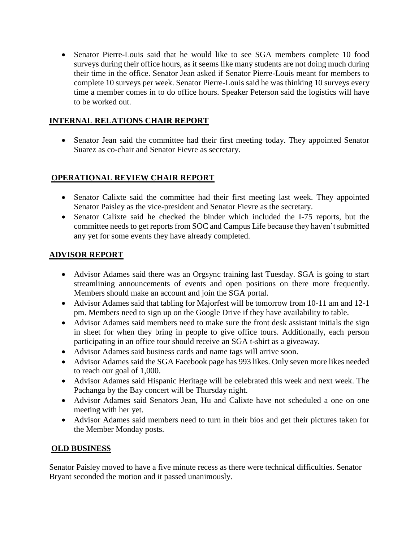Senator Pierre-Louis said that he would like to see SGA members complete 10 food surveys during their office hours, as it seems like many students are not doing much during their time in the office. Senator Jean asked if Senator Pierre-Louis meant for members to complete 10 surveys per week. Senator Pierre-Louis said he was thinking 10 surveys every time a member comes in to do office hours. Speaker Peterson said the logistics will have to be worked out.

#### **INTERNAL RELATIONS CHAIR REPORT**

 Senator Jean said the committee had their first meeting today. They appointed Senator Suarez as co-chair and Senator Fievre as secretary.

# **OPERATIONAL REVIEW CHAIR REPORT**

- Senator Calixte said the committee had their first meeting last week. They appointed Senator Paisley as the vice-president and Senator Fievre as the secretary.
- Senator Calixte said he checked the binder which included the I-75 reports, but the committee needs to get reports from SOC and Campus Life because they haven't submitted any yet for some events they have already completed.

#### **ADVISOR REPORT**

- Advisor Adames said there was an Orgsync training last Tuesday. SGA is going to start streamlining announcements of events and open positions on there more frequently. Members should make an account and join the SGA portal.
- Advisor Adames said that tabling for Majorfest will be tomorrow from 10-11 am and 12-1 pm. Members need to sign up on the Google Drive if they have availability to table.
- Advisor Adames said members need to make sure the front desk assistant initials the sign in sheet for when they bring in people to give office tours. Additionally, each person participating in an office tour should receive an SGA t-shirt as a giveaway.
- Advisor Adames said business cards and name tags will arrive soon.
- Advisor Adames said the SGA Facebook page has 993 likes. Only seven more likes needed to reach our goal of 1,000.
- Advisor Adames said Hispanic Heritage will be celebrated this week and next week. The Pachanga by the Bay concert will be Thursday night.
- Advisor Adames said Senators Jean, Hu and Calixte have not scheduled a one on one meeting with her yet.
- Advisor Adames said members need to turn in their bios and get their pictures taken for the Member Monday posts.

#### **OLD BUSINESS**

Senator Paisley moved to have a five minute recess as there were technical difficulties. Senator Bryant seconded the motion and it passed unanimously.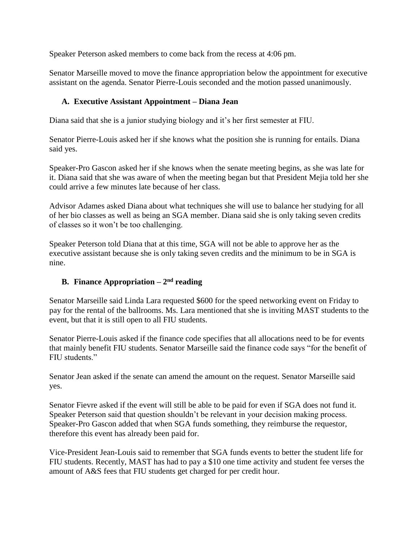Speaker Peterson asked members to come back from the recess at 4:06 pm.

Senator Marseille moved to move the finance appropriation below the appointment for executive assistant on the agenda. Senator Pierre-Louis seconded and the motion passed unanimously.

#### **A. Executive Assistant Appointment – Diana Jean**

Diana said that she is a junior studying biology and it's her first semester at FIU.

Senator Pierre-Louis asked her if she knows what the position she is running for entails. Diana said yes.

Speaker-Pro Gascon asked her if she knows when the senate meeting begins, as she was late for it. Diana said that she was aware of when the meeting began but that President Mejia told her she could arrive a few minutes late because of her class.

Advisor Adames asked Diana about what techniques she will use to balance her studying for all of her bio classes as well as being an SGA member. Diana said she is only taking seven credits of classes so it won't be too challenging.

Speaker Peterson told Diana that at this time, SGA will not be able to approve her as the executive assistant because she is only taking seven credits and the minimum to be in SGA is nine.

#### **B. Finance Appropriation – 2 nd reading**

Senator Marseille said Linda Lara requested \$600 for the speed networking event on Friday to pay for the rental of the ballrooms. Ms. Lara mentioned that she is inviting MAST students to the event, but that it is still open to all FIU students.

Senator Pierre-Louis asked if the finance code specifies that all allocations need to be for events that mainly benefit FIU students. Senator Marseille said the finance code says "for the benefit of FIU students."

Senator Jean asked if the senate can amend the amount on the request. Senator Marseille said yes.

Senator Fievre asked if the event will still be able to be paid for even if SGA does not fund it. Speaker Peterson said that question shouldn't be relevant in your decision making process. Speaker-Pro Gascon added that when SGA funds something, they reimburse the requestor, therefore this event has already been paid for.

Vice-President Jean-Louis said to remember that SGA funds events to better the student life for FIU students. Recently, MAST has had to pay a \$10 one time activity and student fee verses the amount of A&S fees that FIU students get charged for per credit hour.